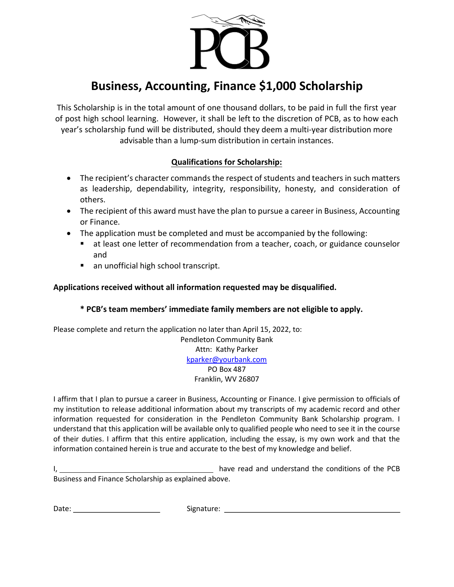

## Business, Accounting, Finance \$1,000 Scholarship

This Scholarship is in the total amount of one thousand dollars, to be paid in full the first year of post high school learning. However, it shall be left to the discretion of PCB, as to how each year's scholarship fund will be distributed, should they deem a multi-year distribution more advisable than a lump-sum distribution in certain instances.

## Qualifications for Scholarship:

- The recipient's character commands the respect of students and teachers in such matters as leadership, dependability, integrity, responsibility, honesty, and consideration of others.
- The recipient of this award must have the plan to pursue a career in Business, Accounting or Finance.
- The application must be completed and must be accompanied by the following:
	- **E** at least one letter of recommendation from a teacher, coach, or guidance counselor and
	- an unofficial high school transcript.

## Applications received without all information requested may be disqualified.

## \* PCB's team members' immediate family members are not eligible to apply.

Please complete and return the application no later than April 15, 2022, to: Pendleton Community Bank Attn: Kathy Parker kparker@yourbank.com PO Box 487 Franklin, WV 26807

I affirm that I plan to pursue a career in Business, Accounting or Finance. I give permission to officials of my institution to release additional information about my transcripts of my academic record and other information requested for consideration in the Pendleton Community Bank Scholarship program. I understand that this application will be available only to qualified people who need to see it in the course of their duties. I affirm that this entire application, including the essay, is my own work and that the information contained herein is true and accurate to the best of my knowledge and belief.

I, have read and understand the conditions of the PCB Business and Finance Scholarship as explained above.

Date: Signature: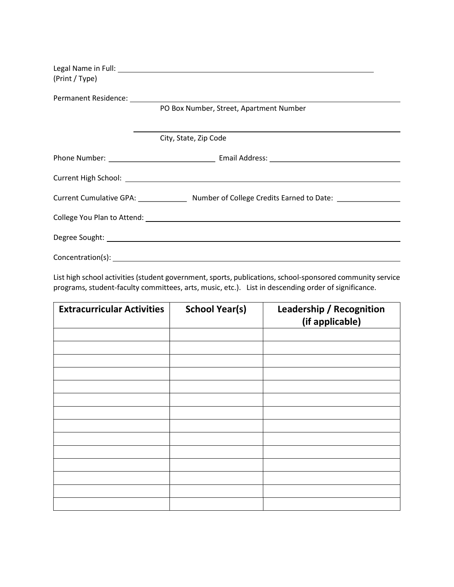| (Print / Type) |                                                                                                     |  |
|----------------|-----------------------------------------------------------------------------------------------------|--|
|                |                                                                                                     |  |
|                | PO Box Number, Street, Apartment Number                                                             |  |
|                |                                                                                                     |  |
|                | City, State, Zip Code                                                                               |  |
|                |                                                                                                     |  |
|                |                                                                                                     |  |
|                | Current Cumulative GPA: _______________ Number of College Credits Earned to Date: _________________ |  |
|                |                                                                                                     |  |
|                |                                                                                                     |  |
|                |                                                                                                     |  |

List high school activities (student government, sports, publications, school-sponsored community service programs, student-faculty committees, arts, music, etc.). List in descending order of significance.

| <b>Extracurricular Activities</b> | <b>School Year(s)</b> | Leadership / Recognition<br>(if applicable) |
|-----------------------------------|-----------------------|---------------------------------------------|
|                                   |                       |                                             |
|                                   |                       |                                             |
|                                   |                       |                                             |
|                                   |                       |                                             |
|                                   |                       |                                             |
|                                   |                       |                                             |
|                                   |                       |                                             |
|                                   |                       |                                             |
|                                   |                       |                                             |
|                                   |                       |                                             |
|                                   |                       |                                             |
|                                   |                       |                                             |
|                                   |                       |                                             |
|                                   |                       |                                             |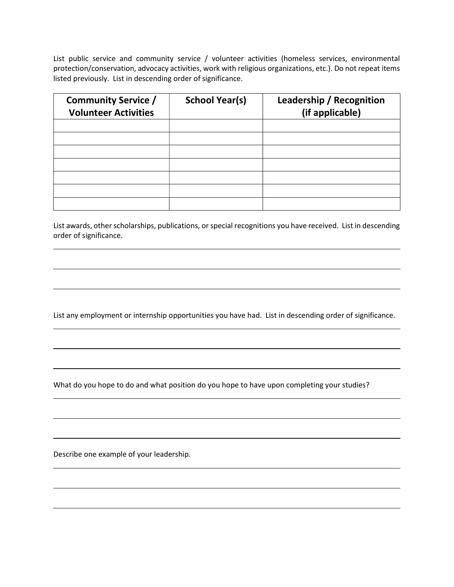List public service and community service / volunteer activities (homeless services, environmental protection/conservation, advocacy activities, work with religious organizations, etc.). Do not repeat items listed previously. List in descending order of significance.

| <b>Community Service /</b><br><b>Volunteer Activities</b> | <b>School Year(s)</b> | <b>Leadership / Recognition</b><br>(if applicable) |
|-----------------------------------------------------------|-----------------------|----------------------------------------------------|
|                                                           |                       |                                                    |
|                                                           |                       |                                                    |
|                                                           |                       |                                                    |
|                                                           |                       |                                                    |
|                                                           |                       |                                                    |
|                                                           |                       |                                                    |
|                                                           |                       |                                                    |

List awards, other scholarships, publications, or special recognitions you have received. List in descending order of significance.

List any employment or internship opportunities you have had. List in descending order of significance.

What do you hope to do and what position do you hope to have upon completing your studies?

Describe one example of your leadership.

 $\overline{a}$ 

 $\overline{a}$ 

 $\overline{a}$ 

 $\overline{a}$ 

 $\overline{a}$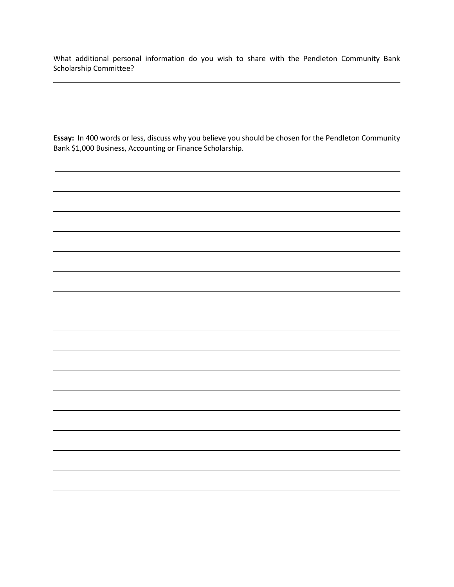What additional personal information do you wish to share with the Pendleton Community Bank Scholarship Committee?

 $\overline{a}$ 

Essay: In 400 words or less, discuss why you believe you should be chosen for the Pendleton Community Bank \$1,000 Business, Accounting or Finance Scholarship.